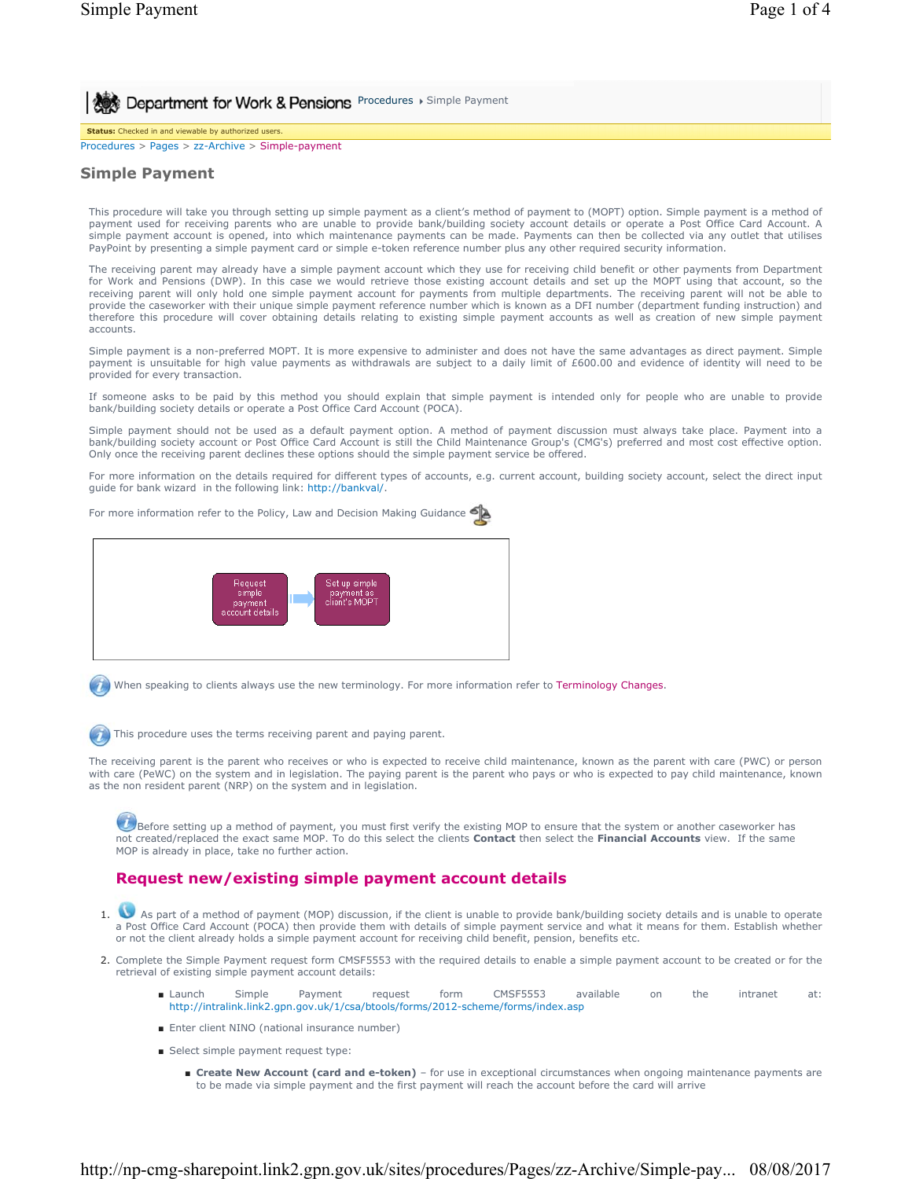**Status:** Checked in and viewable by authorized users. Procedures > Pages > zz-Archive > Simple-payment

### **Simple Payment**

This procedure will take you through setting up simple payment as a client's method of payment to (MOPT) option. Simple payment is a method of payment used for receiving parents who are unable to provide bank/building society account details or operate a Post Office Card Account. A simple payment account is opened, into which maintenance payments can be made. Payments can then be collected via any outlet that utilises PayPoint by presenting a simple payment card or simple e-token reference number plus any other required security information.

The receiving parent may already have a simple payment account which they use for receiving child benefit or other payments from Department for Work and Pensions (DWP). In this case we would retrieve those existing account details and set up the MOPT using that account, so the receiving parent will only hold one simple payment account for payments from multiple departments. The receiving parent will not be able to provide the caseworker with their unique simple payment reference number which is known as a DFI number (department funding instruction) and therefore this procedure will cover obtaining details relating to existing simple payment accounts as well as creation of new simple payment accounts.

Simple payment is a non-preferred MOPT. It is more expensive to administer and does not have the same advantages as direct payment. Simple payment is unsuitable for high value payments as withdrawals are subject to a daily limit of £600.00 and evidence of identity will need to be provided for every transaction.

If someone asks to be paid by this method you should explain that simple payment is intended only for people who are unable to provide bank/building society details or operate a Post Office Card Account (POCA).

Simple payment should not be used as a default payment option. A method of payment discussion must always take place. Payment into a bank/building society account or Post Office Card Account is still the Child Maintenance Group's (CMG's) preferred and most cost effective option. Only once the receiving parent declines these options should the simple payment service be offered.

For more information on the details required for different types of accounts, e.g. current account, building society account, select the direct input guide for bank wizard in the following link: http://bankval/.

For more information refer to the Policy, Law and Decision Making Guidance



When speaking to clients always use the new terminology. For more information refer to Terminology Changes.

This procedure uses the terms receiving parent and paying parent.

The receiving parent is the parent who receives or who is expected to receive child maintenance, known as the parent with care (PWC) or person with care (PeWC) on the system and in legislation. The paying parent is the parent who pays or who is expected to pay child maintenance, known as the non resident parent (NRP) on the system and in legislation.

Before setting up a method of payment, you must first verify the existing MOP to ensure that the system or another caseworker has not created/replaced the exact same MOP. To do this select the clients **Contact** then select the **Financial Accounts** view. If the same MOP is already in place, take no further action.

## **Request new/existing simple payment account details**

- 1. As part of a method of payment (MOP) discussion, if the client is unable to provide bank/building society details and is unable to operate a Post Office Card Account (POCA) then provide them with details of simple payment service and what it means for them. Establish whether or not the client already holds a simple payment account for receiving child benefit, pension, benefits etc.
- 2. Complete the Simple Payment request form CMSF5553 with the required details to enable a simple payment account to be created or for the retrieval of existing simple payment account details:
	- Launch Simple Payment request form CMSF5553 available on the intranet at: http://intralink.link2.gpn.gov.uk/1/csa/btools/forms/2012-scheme/forms/index.asp ■ Launch
	- Enter client NINO (national insurance number)
	- Select simple payment request type:
		- Create New Account (card and e-token) for use in exceptional circumstances when ongoing maintenance payments are to be made via simple payment and the first payment will reach the account before the card will arrive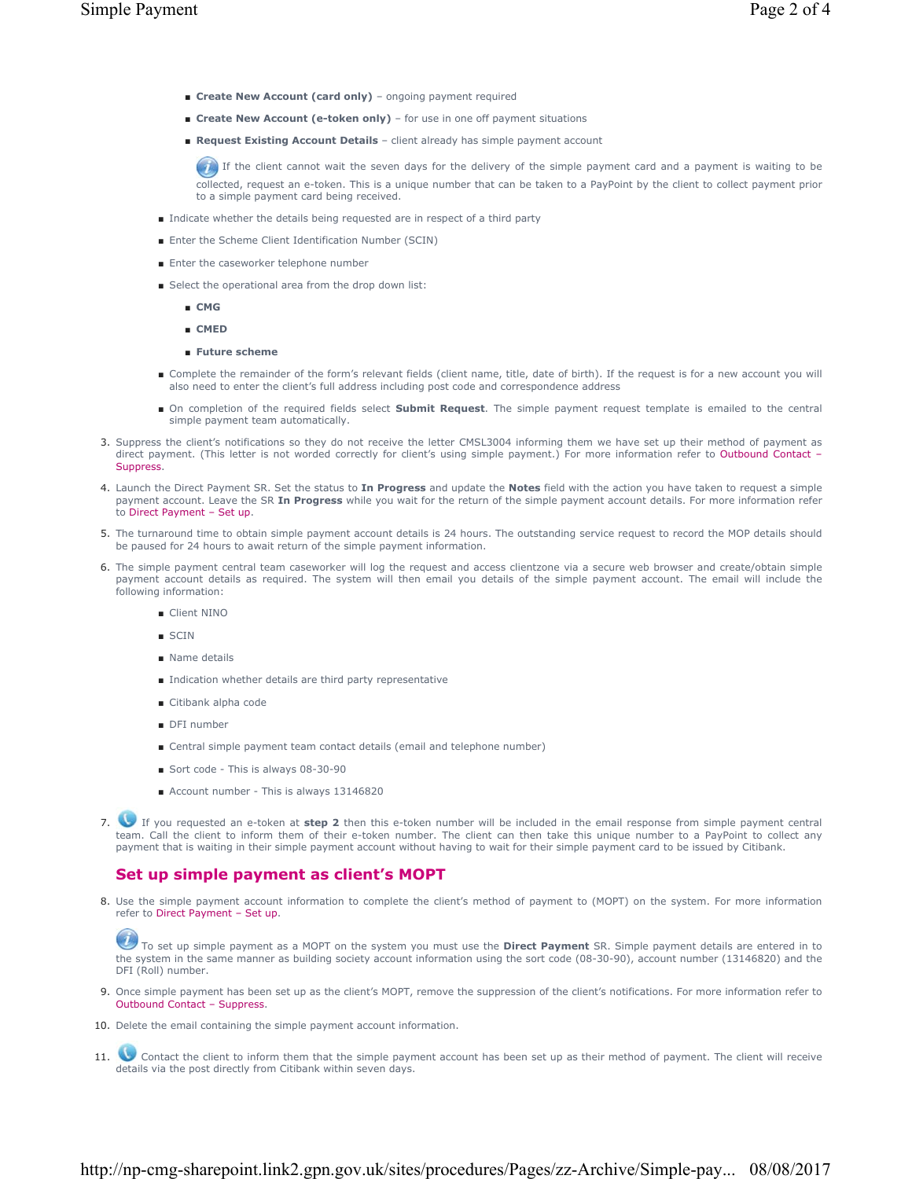- **Create New Account (card only)** ongoing payment required
- **Create New Account (e-token only)** for use in one off payment situations
- **Request Existing Account Details** client already has simple payment account

**If** the client cannot wait the seven days for the delivery of the simple payment card and a payment is waiting to be collected, request an e-token. This is a unique number that can be taken to a PayPoint by the client to collect payment prior to a simple payment card being received.

- Indicate whether the details being requested are in respect of a third party
- Enter the Scheme Client Identification Number (SCIN)
- Enter the caseworker telephone number
- Select the operational area from the drop down list:
	- **CMG**
	- **CMED**
	- **Future scheme**
- Complete the remainder of the form's relevant fields (client name, title, date of birth). If the request is for a new account you will also need to enter the client's full address including post code and correspondence address
- On completion of the required fields select **Submit Request**. The simple payment request template is emailed to the central simple payment team automatically.
- 3. Suppress the client's notifications so they do not receive the letter CMSL3004 informing them we have set up their method of payment as direct payment. (This letter is not worded correctly for client's using simple payment.) For more information refer to Outbound Contact -Suppress.
- Launch the Direct Payment SR. Set the status to **In Progress** and update the **Notes** field with the action you have taken to request a simple 4. payment account. Leave the SR **In Progress** while you wait for the return of the simple payment account details. For more information refer to Direct Payment – Set up.
- 5. The turnaround time to obtain simple payment account details is 24 hours. The outstanding service request to record the MOP details should be paused for 24 hours to await return of the simple payment information.
- 6. The simple payment central team caseworker will log the request and access clientzone via a secure web browser and create/obtain simple payment account details as required. The system will then email you details of the simple payment account. The email will include the following information:
	- Client NINO
	- SCIN
	- Name details
	- Indication whether details are third party representative
	- Citibank alpha code
	- DFI number
	- Central simple payment team contact details (email and telephone number)
	- Sort code This is always 08-30-90
	- Account number This is always 13146820
- If you requested an e-token at **step 2** then this e-token number will be included in the email response from simple payment central 7. team. Call the client to inform them of their e-token number. The client can then take this unique number to a PayPoint to collect any payment that is waiting in their simple payment account without having to wait for their simple payment card to be issued by Citibank.

## **Set up simple payment as client's MOPT**

Use the simple payment account information to complete the client's method of payment to (MOPT) on the system. For more information 8. refer to Direct Payment – Set up.

To set up simple payment as a MOPT on the system you must use the **Direct Payment** SR. Simple payment details are entered in to the system in the same manner as building society account information using the sort code (08-30-90), account number (13146820) and the DFI (Roll) number.

- Once simple payment has been set up as the client's MOPT, remove the suppression of the client's notifications. For more information refer to 9. Outbound Contact – Suppress.
- 10. Delete the email containing the simple payment account information.
- 11. Contact the client to inform them that the simple payment account has been set up as their method of payment. The client will receive details via the post directly from Citibank within seven days.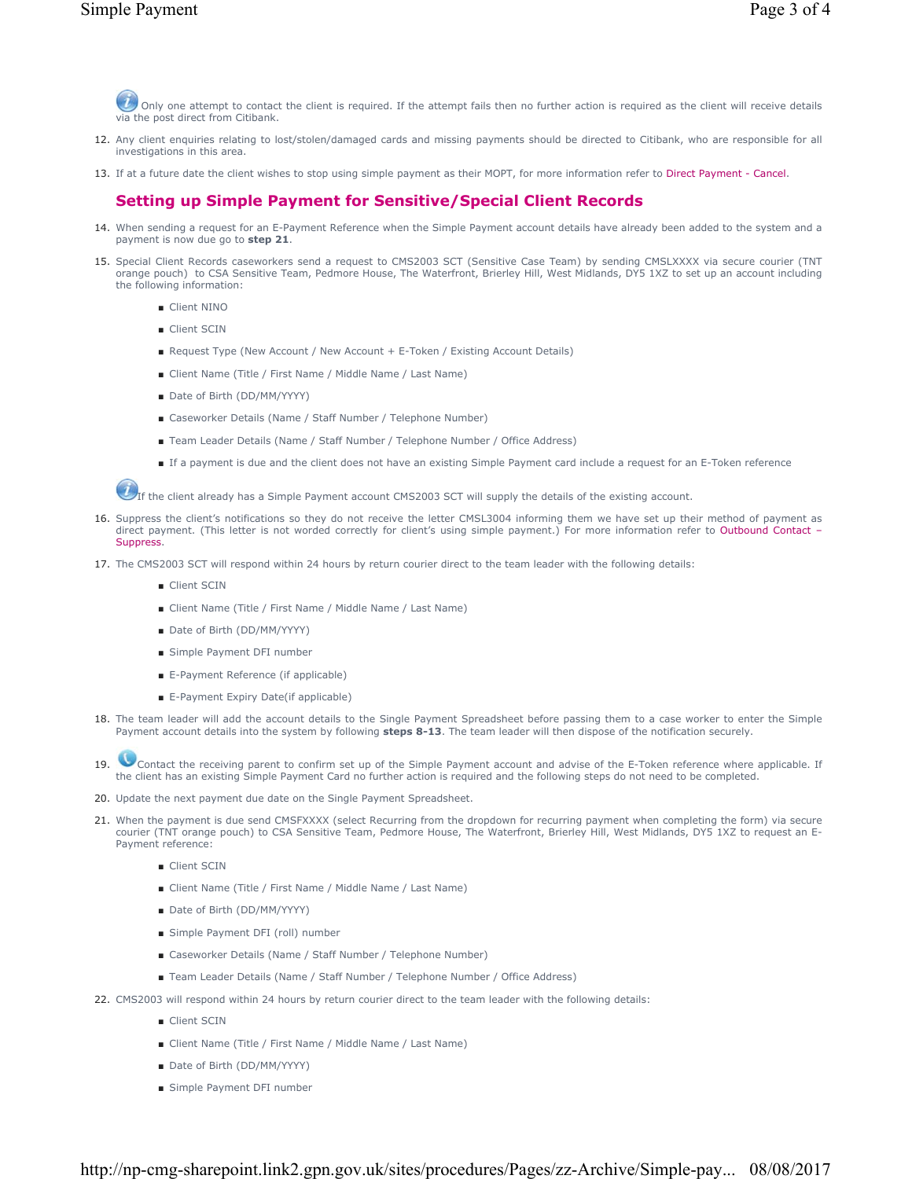Only one attempt to contact the client is required. If the attempt fails then no further action is required as the client will receive details via the post direct from Citibank.

- 12. Any client enquiries relating to lost/stolen/damaged cards and missing payments should be directed to Citibank, who are responsible for all investigations in this area.
- 13. If at a future date the client wishes to stop using simple payment as their MOPT, for more information refer to Direct Payment Cancel.

# **Setting up Simple Payment for Sensitive/Special Client Records**

- 14. When sending a request for an E-Payment Reference when the Simple Payment account details have already been added to the system and a payment is now due go to **step 21**.
- 15. Special Client Records caseworkers send a request to CMS2003 SCT (Sensitive Case Team) by sending CMSLXXXX via secure courier (TNT orange pouch) to CSA Sensitive Team, Pedmore House, The Waterfront, Brierley Hill, West Midlands, DY5 1XZ to set up an account including the following information:
	- Client NINO
	- Client SCIN
	- Request Type (New Account / New Account + E-Token / Existing Account Details)
	- Client Name (Title / First Name / Middle Name / Last Name)
	- Date of Birth (DD/MM/YYYY)
	- Caseworker Details (Name / Staff Number / Telephone Number)
	- Team Leader Details (Name / Staff Number / Telephone Number / Office Address)
	- If a payment is due and the client does not have an existing Simple Payment card include a request for an E-Token reference

If the client already has a Simple Payment account CMS2003 SCT will supply the details of the existing account.

- 16. Suppress the client's notifications so they do not receive the letter CMSL3004 informing them we have set up their method of payment as direct payment. (This letter is not worded correctly for client's using simple payment.) For more information refer to Outbound Contact – Suppress.
- 17. The CMS2003 SCT will respond within 24 hours by return courier direct to the team leader with the following details:
	- Client SCIN
	- Client Name (Title / First Name / Middle Name / Last Name)
	- Date of Birth (DD/MM/YYYY)
	- Simple Payment DFI number
	- E-Payment Reference (if applicable)
	- E-Payment Expiry Date(if applicable)
- 18. The team leader will add the account details to the Single Payment Spreadsheet before passing them to a case worker to enter the Simple Payment account details into the system by following **steps 8-13**. The team leader will then dispose of the notification securely.
- Contact the receiving parent to confirm set up of the Simple Payment account and advise of the E-Token reference where applicable. If the client has an existing Simple Payment Card no further action is required and the following steps do not need to be completed. 19.
- 20. Update the next payment due date on the Single Payment Spreadsheet.
- 21. When the payment is due send CMSFXXXX (select Recurring from the dropdown for recurring payment when completing the form) via secure courier (TNT orange pouch) to CSA Sensitive Team, Pedmore House, The Waterfront, Brierley Hill, West Midlands, DY5 1XZ to request an E-Payment reference:
	- Client SCIN
	- Client Name (Title / First Name / Middle Name / Last Name)
	- Date of Birth (DD/MM/YYYY)
	- Simple Payment DFI (roll) number
	- Caseworker Details (Name / Staff Number / Telephone Number)
	- Team Leader Details (Name / Staff Number / Telephone Number / Office Address)
- 22. CMS2003 will respond within 24 hours by return courier direct to the team leader with the following details:
	- Client SCIN
	- Client Name (Title / First Name / Middle Name / Last Name)
	- Date of Birth (DD/MM/YYYY)
	- Simple Payment DFI number